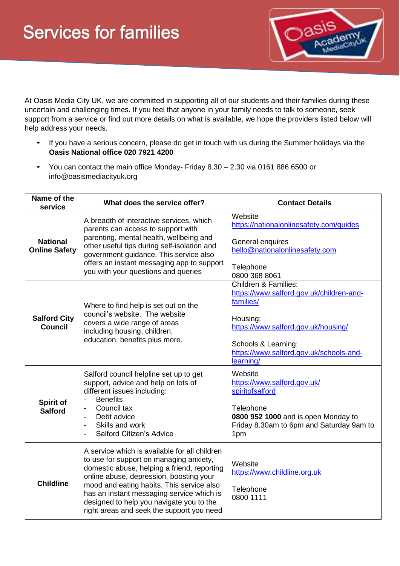

At Oasis Media City UK, we are committed in supporting all of our students and their families during these uncertain and challenging times. If you feel that anyone in your family needs to talk to someone, seek support from a service or find out more details on what is available, we hope the providers listed below will help address your needs.

- If you have a serious concern, please do get in touch with us during the Summer holidays via the **Oasis National office 020 7921 4200**
- You can contact the main office Monday- Friday 8.30 2.30 via 0161 886 6500 or info@oasismediacityuk.org

| Name of the<br>service                  | What does the service offer?                                                                                                                                                                                                                                                                                                                                          | <b>Contact Details</b>                                                                                                                                                                                                     |
|-----------------------------------------|-----------------------------------------------------------------------------------------------------------------------------------------------------------------------------------------------------------------------------------------------------------------------------------------------------------------------------------------------------------------------|----------------------------------------------------------------------------------------------------------------------------------------------------------------------------------------------------------------------------|
| <b>National</b><br><b>Online Safety</b> | A breadth of interactive services, which<br>parents can access to support with<br>parenting, mental health, wellbeing and<br>other useful tips during self-isolation and<br>government guidance. This service also<br>offers an instant messaging app to support<br>you with your questions and queries                                                               | Website<br>https://nationalonlinesafety.com/guides<br>General enquires<br>hello@nationalonlinesafety.com<br>Telephone<br>0800 368 8061                                                                                     |
| <b>Salford City</b><br><b>Council</b>   | Where to find help is set out on the<br>council's website. The website<br>covers a wide range of areas<br>including housing, children,<br>education, benefits plus more.                                                                                                                                                                                              | <b>Children &amp; Families:</b><br>https://www.salford.gov.uk/children-and-<br>families/<br>Housing:<br>https://www.salford.gov.uk/housing/<br>Schools & Learning:<br>https://www.salford.gov.uk/schools-and-<br>learning/ |
| Spirit of<br><b>Salford</b>             | Salford council helpline set up to get<br>support, advice and help on lots of<br>different issues including:<br><b>Benefits</b><br>Council tax<br>Debt advice<br>Skills and work<br>Salford Citizen's Advice                                                                                                                                                          | Website<br>https://www.salford.gov.uk/<br>spiritofsalford<br>Telephone<br>0800 952 1000 and is open Monday to<br>Friday 8.30am to 6pm and Saturday 9am to<br>1pm                                                           |
| <b>Childline</b>                        | A service which is available for all children<br>to use for support on managing anxiety,<br>domestic abuse, helping a friend, reporting<br>online abuse, depression, boosting your<br>mood and eating habits. This service also<br>has an instant messaging service which is<br>designed to help you navigate you to the<br>right areas and seek the support you need | Website<br>https://www.childline.org.uk<br>Telephone<br>0800 1111                                                                                                                                                          |